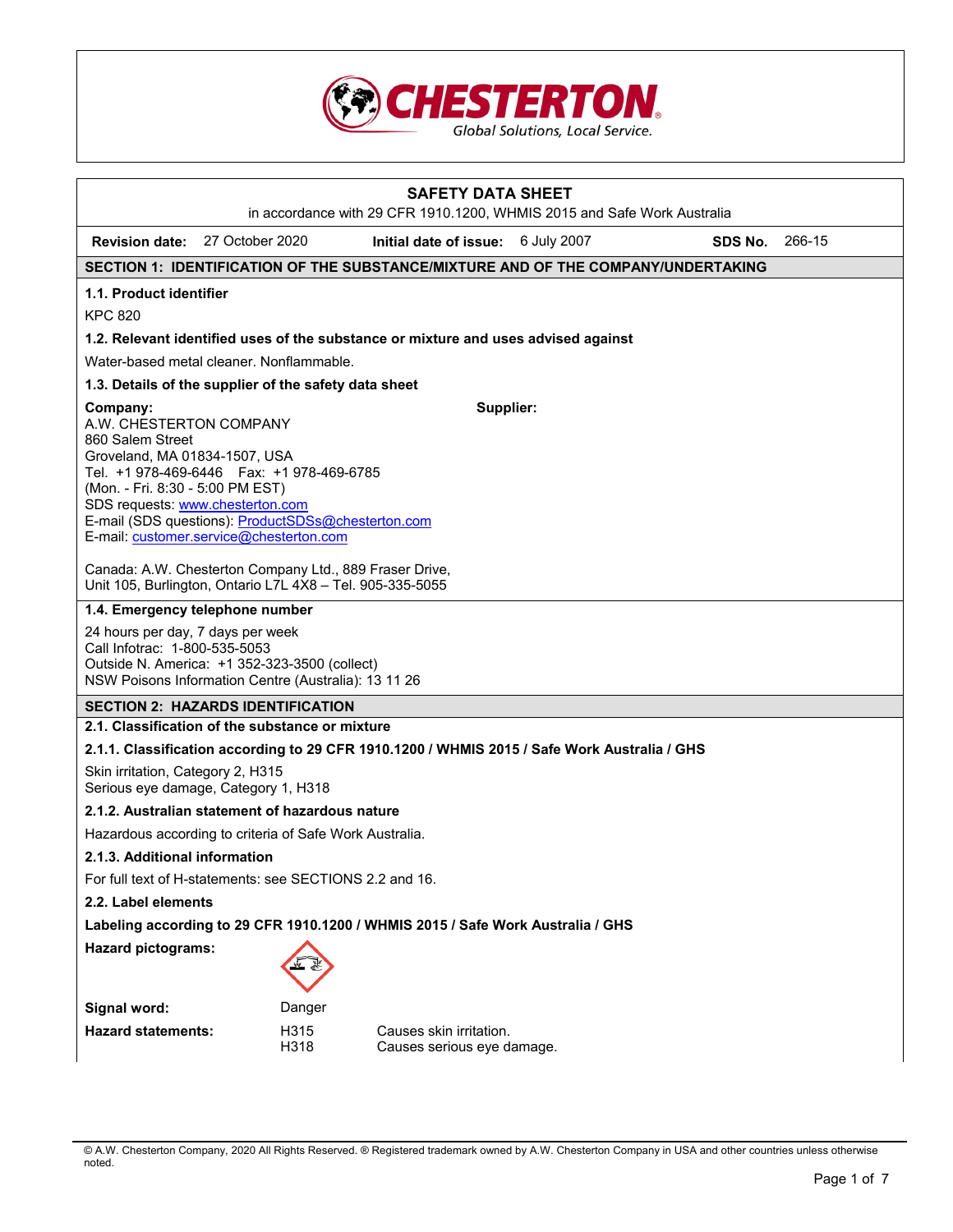

| <b>SAFETY DATA SHEET</b><br>in accordance with 29 CFR 1910.1200, WHMIS 2015 and Safe Work Australia                                                                                                                                                                                                                                                                                       |                                 |              |                                                                                    |             |         |        |
|-------------------------------------------------------------------------------------------------------------------------------------------------------------------------------------------------------------------------------------------------------------------------------------------------------------------------------------------------------------------------------------------|---------------------------------|--------------|------------------------------------------------------------------------------------|-------------|---------|--------|
| Revision date: 27 October 2020                                                                                                                                                                                                                                                                                                                                                            |                                 |              | Initial date of issue:                                                             | 6 July 2007 | SDS No. | 266-15 |
|                                                                                                                                                                                                                                                                                                                                                                                           |                                 |              | SECTION 1: IDENTIFICATION OF THE SUBSTANCE/MIXTURE AND OF THE COMPANY/UNDERTAKING  |             |         |        |
| 1.1. Product identifier                                                                                                                                                                                                                                                                                                                                                                   |                                 |              |                                                                                    |             |         |        |
| <b>KPC 820</b>                                                                                                                                                                                                                                                                                                                                                                            |                                 |              |                                                                                    |             |         |        |
|                                                                                                                                                                                                                                                                                                                                                                                           |                                 |              | 1.2. Relevant identified uses of the substance or mixture and uses advised against |             |         |        |
| Water-based metal cleaner. Nonflammable.                                                                                                                                                                                                                                                                                                                                                  |                                 |              |                                                                                    |             |         |        |
| 1.3. Details of the supplier of the safety data sheet                                                                                                                                                                                                                                                                                                                                     |                                 |              |                                                                                    |             |         |        |
| Supplier:<br>Company:<br>A.W. CHESTERTON COMPANY<br>860 Salem Street<br>Groveland, MA 01834-1507, USA<br>Tel. +1 978-469-6446    Fax: +1 978-469-6785<br>(Mon. - Fri. 8:30 - 5:00 PM EST)<br>SDS requests: www.chesterton.com<br>E-mail (SDS questions): ProductSDSs@chesterton.com<br>E-mail: customer.service@chesterton.com<br>Canada: A.W. Chesterton Company Ltd., 889 Fraser Drive, |                                 |              |                                                                                    |             |         |        |
| Unit 105, Burlington, Ontario L7L 4X8 - Tel. 905-335-5055                                                                                                                                                                                                                                                                                                                                 |                                 |              |                                                                                    |             |         |        |
|                                                                                                                                                                                                                                                                                                                                                                                           | 1.4. Emergency telephone number |              |                                                                                    |             |         |        |
| 24 hours per day, 7 days per week<br>Call Infotrac: 1-800-535-5053<br>Outside N. America: +1 352-323-3500 (collect)<br>NSW Poisons Information Centre (Australia): 13 11 26                                                                                                                                                                                                               |                                 |              |                                                                                    |             |         |        |
| <b>SECTION 2: HAZARDS IDENTIFICATION</b>                                                                                                                                                                                                                                                                                                                                                  |                                 |              |                                                                                    |             |         |        |
| 2.1. Classification of the substance or mixture                                                                                                                                                                                                                                                                                                                                           |                                 |              |                                                                                    |             |         |        |
| 2.1.1. Classification according to 29 CFR 1910.1200 / WHMIS 2015 / Safe Work Australia / GHS                                                                                                                                                                                                                                                                                              |                                 |              |                                                                                    |             |         |        |
| Skin irritation, Category 2, H315<br>Serious eye damage, Category 1, H318                                                                                                                                                                                                                                                                                                                 |                                 |              |                                                                                    |             |         |        |
| 2.1.2. Australian statement of hazardous nature                                                                                                                                                                                                                                                                                                                                           |                                 |              |                                                                                    |             |         |        |
| Hazardous according to criteria of Safe Work Australia.                                                                                                                                                                                                                                                                                                                                   |                                 |              |                                                                                    |             |         |        |
| 2.1.3. Additional information                                                                                                                                                                                                                                                                                                                                                             |                                 |              |                                                                                    |             |         |        |
| For full text of H-statements: see SECTIONS 2.2 and 16.                                                                                                                                                                                                                                                                                                                                   |                                 |              |                                                                                    |             |         |        |
| 2.2. Label elements                                                                                                                                                                                                                                                                                                                                                                       |                                 |              |                                                                                    |             |         |        |
| Labeling according to 29 CFR 1910.1200 / WHMIS 2015 / Safe Work Australia / GHS                                                                                                                                                                                                                                                                                                           |                                 |              |                                                                                    |             |         |        |
| <b>Hazard pictograms:</b>                                                                                                                                                                                                                                                                                                                                                                 |                                 |              |                                                                                    |             |         |        |
| Signal word:                                                                                                                                                                                                                                                                                                                                                                              |                                 | Danger       |                                                                                    |             |         |        |
| <b>Hazard statements:</b>                                                                                                                                                                                                                                                                                                                                                                 |                                 | H315<br>H318 | Causes skin irritation.<br>Causes serious eye damage.                              |             |         |        |

<sup>©</sup> A.W. Chesterton Company, 2020 All Rights Reserved. ® Registered trademark owned by A.W. Chesterton Company in USA and other countries unless otherwise noted.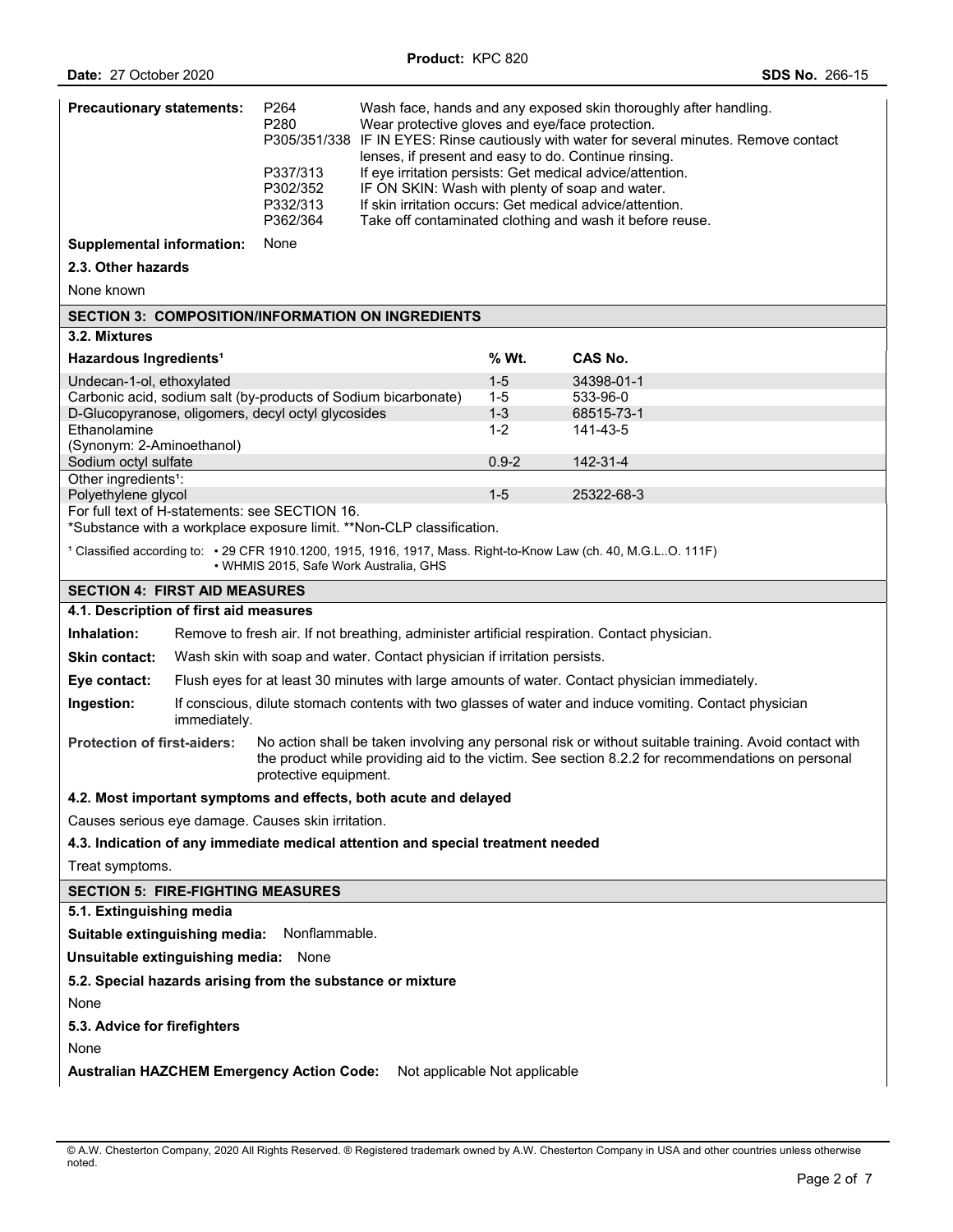| <b>Precautionary statements:</b>                                                                                                                                                                                                                                         | P <sub>264</sub><br>P280<br>P337/313<br>P302/352<br>P332/313<br>P362/364 | Wash face, hands and any exposed skin thoroughly after handling.<br>Wear protective gloves and eye/face protection.<br>P305/351/338 IF IN EYES: Rinse cautiously with water for several minutes. Remove contact<br>lenses, if present and easy to do. Continue rinsing.<br>If eye irritation persists: Get medical advice/attention.<br>IF ON SKIN: Wash with plenty of soap and water.<br>If skin irritation occurs: Get medical advice/attention.<br>Take off contaminated clothing and wash it before reuse. |                    |                                                                                                |
|--------------------------------------------------------------------------------------------------------------------------------------------------------------------------------------------------------------------------------------------------------------------------|--------------------------------------------------------------------------|-----------------------------------------------------------------------------------------------------------------------------------------------------------------------------------------------------------------------------------------------------------------------------------------------------------------------------------------------------------------------------------------------------------------------------------------------------------------------------------------------------------------|--------------------|------------------------------------------------------------------------------------------------|
| <b>Supplemental information:</b>                                                                                                                                                                                                                                         | None                                                                     |                                                                                                                                                                                                                                                                                                                                                                                                                                                                                                                 |                    |                                                                                                |
| 2.3. Other hazards                                                                                                                                                                                                                                                       |                                                                          |                                                                                                                                                                                                                                                                                                                                                                                                                                                                                                                 |                    |                                                                                                |
| None known                                                                                                                                                                                                                                                               |                                                                          |                                                                                                                                                                                                                                                                                                                                                                                                                                                                                                                 |                    |                                                                                                |
| <b>SECTION 3: COMPOSITION/INFORMATION ON INGREDIENTS</b>                                                                                                                                                                                                                 |                                                                          |                                                                                                                                                                                                                                                                                                                                                                                                                                                                                                                 |                    |                                                                                                |
| 3.2. Mixtures                                                                                                                                                                                                                                                            |                                                                          |                                                                                                                                                                                                                                                                                                                                                                                                                                                                                                                 |                    |                                                                                                |
| Hazardous Ingredients <sup>1</sup>                                                                                                                                                                                                                                       |                                                                          |                                                                                                                                                                                                                                                                                                                                                                                                                                                                                                                 | % Wt.              | CAS No.                                                                                        |
| Undecan-1-ol, ethoxylated                                                                                                                                                                                                                                                |                                                                          |                                                                                                                                                                                                                                                                                                                                                                                                                                                                                                                 | $1 - 5$            | 34398-01-1                                                                                     |
| Carbonic acid, sodium salt (by-products of Sodium bicarbonate)                                                                                                                                                                                                           |                                                                          |                                                                                                                                                                                                                                                                                                                                                                                                                                                                                                                 | $1 - 5$            | 533-96-0                                                                                       |
| D-Glucopyranose, oligomers, decyl octyl glycosides<br>Ethanolamine                                                                                                                                                                                                       |                                                                          |                                                                                                                                                                                                                                                                                                                                                                                                                                                                                                                 | $1 - 3$<br>$1 - 2$ | 68515-73-1<br>141-43-5                                                                         |
| (Synonym: 2-Aminoethanol)                                                                                                                                                                                                                                                |                                                                          |                                                                                                                                                                                                                                                                                                                                                                                                                                                                                                                 |                    |                                                                                                |
| Sodium octyl sulfate                                                                                                                                                                                                                                                     |                                                                          |                                                                                                                                                                                                                                                                                                                                                                                                                                                                                                                 | $0.9 - 2$          | 142-31-4                                                                                       |
| Other ingredients <sup>1</sup> :                                                                                                                                                                                                                                         |                                                                          |                                                                                                                                                                                                                                                                                                                                                                                                                                                                                                                 |                    |                                                                                                |
| Polyethylene glycol                                                                                                                                                                                                                                                      |                                                                          |                                                                                                                                                                                                                                                                                                                                                                                                                                                                                                                 | $1-5$              | 25322-68-3                                                                                     |
| For full text of H-statements: see SECTION 16.<br>*Substance with a workplace exposure limit. **Non-CLP classification.                                                                                                                                                  |                                                                          |                                                                                                                                                                                                                                                                                                                                                                                                                                                                                                                 |                    |                                                                                                |
|                                                                                                                                                                                                                                                                          |                                                                          |                                                                                                                                                                                                                                                                                                                                                                                                                                                                                                                 |                    |                                                                                                |
| 1 Classified according to: • 29 CFR 1910.1200, 1915, 1916, 1917, Mass. Right-to-Know Law (ch. 40, M.G.LO. 111F)                                                                                                                                                          | • WHMIS 2015, Safe Work Australia, GHS                                   |                                                                                                                                                                                                                                                                                                                                                                                                                                                                                                                 |                    |                                                                                                |
| <b>SECTION 4: FIRST AID MEASURES</b>                                                                                                                                                                                                                                     |                                                                          |                                                                                                                                                                                                                                                                                                                                                                                                                                                                                                                 |                    |                                                                                                |
| 4.1. Description of first aid measures                                                                                                                                                                                                                                   |                                                                          |                                                                                                                                                                                                                                                                                                                                                                                                                                                                                                                 |                    |                                                                                                |
| Inhalation:<br>Remove to fresh air. If not breathing, administer artificial respiration. Contact physician.                                                                                                                                                              |                                                                          |                                                                                                                                                                                                                                                                                                                                                                                                                                                                                                                 |                    |                                                                                                |
| Wash skin with soap and water. Contact physician if irritation persists.<br><b>Skin contact:</b>                                                                                                                                                                         |                                                                          |                                                                                                                                                                                                                                                                                                                                                                                                                                                                                                                 |                    |                                                                                                |
| Eye contact:                                                                                                                                                                                                                                                             |                                                                          |                                                                                                                                                                                                                                                                                                                                                                                                                                                                                                                 |                    | Flush eyes for at least 30 minutes with large amounts of water. Contact physician immediately. |
| If conscious, dilute stomach contents with two glasses of water and induce vomiting. Contact physician<br>Ingestion:<br>immediately.                                                                                                                                     |                                                                          |                                                                                                                                                                                                                                                                                                                                                                                                                                                                                                                 |                    |                                                                                                |
| <b>Protection of first-aiders:</b><br>No action shall be taken involving any personal risk or without suitable training. Avoid contact with<br>the product while providing aid to the victim. See section 8.2.2 for recommendations on personal<br>protective equipment. |                                                                          |                                                                                                                                                                                                                                                                                                                                                                                                                                                                                                                 |                    |                                                                                                |
| 4.2. Most important symptoms and effects, both acute and delayed                                                                                                                                                                                                         |                                                                          |                                                                                                                                                                                                                                                                                                                                                                                                                                                                                                                 |                    |                                                                                                |
| Causes serious eye damage. Causes skin irritation.                                                                                                                                                                                                                       |                                                                          |                                                                                                                                                                                                                                                                                                                                                                                                                                                                                                                 |                    |                                                                                                |
| 4.3. Indication of any immediate medical attention and special treatment needed                                                                                                                                                                                          |                                                                          |                                                                                                                                                                                                                                                                                                                                                                                                                                                                                                                 |                    |                                                                                                |
| Treat symptoms.                                                                                                                                                                                                                                                          |                                                                          |                                                                                                                                                                                                                                                                                                                                                                                                                                                                                                                 |                    |                                                                                                |
| <b>SECTION 5: FIRE-FIGHTING MEASURES</b>                                                                                                                                                                                                                                 |                                                                          |                                                                                                                                                                                                                                                                                                                                                                                                                                                                                                                 |                    |                                                                                                |
| 5.1. Extinguishing media                                                                                                                                                                                                                                                 |                                                                          |                                                                                                                                                                                                                                                                                                                                                                                                                                                                                                                 |                    |                                                                                                |
| Suitable extinguishing media:<br>Nonflammable.                                                                                                                                                                                                                           |                                                                          |                                                                                                                                                                                                                                                                                                                                                                                                                                                                                                                 |                    |                                                                                                |
| Unsuitable extinguishing media: None                                                                                                                                                                                                                                     |                                                                          |                                                                                                                                                                                                                                                                                                                                                                                                                                                                                                                 |                    |                                                                                                |
| 5.2. Special hazards arising from the substance or mixture                                                                                                                                                                                                               |                                                                          |                                                                                                                                                                                                                                                                                                                                                                                                                                                                                                                 |                    |                                                                                                |
| None                                                                                                                                                                                                                                                                     |                                                                          |                                                                                                                                                                                                                                                                                                                                                                                                                                                                                                                 |                    |                                                                                                |
| 5.3. Advice for firefighters                                                                                                                                                                                                                                             |                                                                          |                                                                                                                                                                                                                                                                                                                                                                                                                                                                                                                 |                    |                                                                                                |
| None                                                                                                                                                                                                                                                                     |                                                                          |                                                                                                                                                                                                                                                                                                                                                                                                                                                                                                                 |                    |                                                                                                |
| <b>Australian HAZCHEM Emergency Action Code:</b><br>Not applicable Not applicable                                                                                                                                                                                        |                                                                          |                                                                                                                                                                                                                                                                                                                                                                                                                                                                                                                 |                    |                                                                                                |

<sup>©</sup> A.W. Chesterton Company, 2020 All Rights Reserved. ® Registered trademark owned by A.W. Chesterton Company in USA and other countries unless otherwise noted.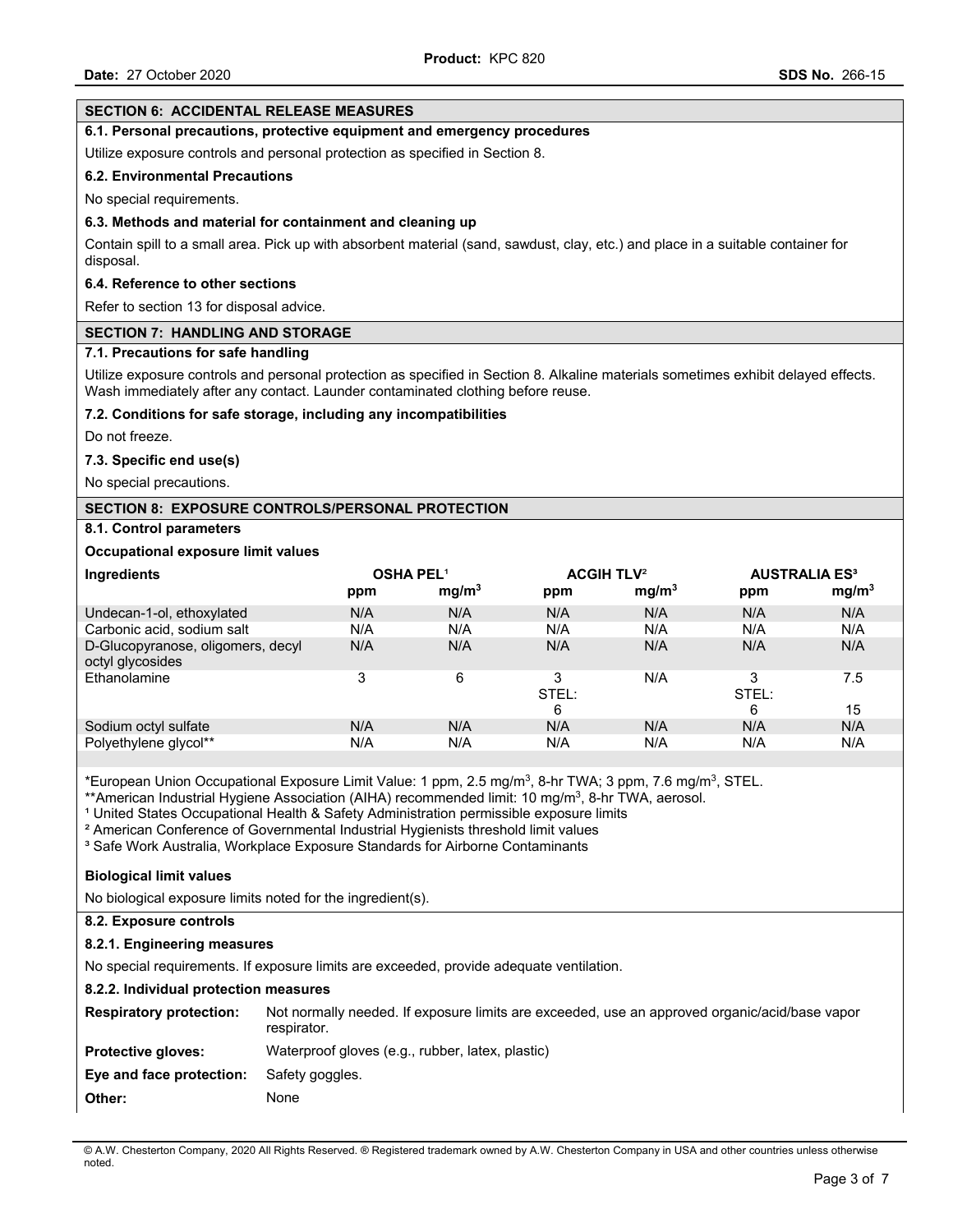### **SECTION 6: ACCIDENTAL RELEASE MEASURES 6.1. Personal precautions, protective equipment and emergency procedures**  Utilize exposure controls and personal protection as specified in Section 8. **6.2. Environmental Precautions**  No special requirements. **6.3. Methods and material for containment and cleaning up**  Contain spill to a small area. Pick up with absorbent material (sand, sawdust, clay, etc.) and place in a suitable container for disposal. **6.4. Reference to other sections**  Refer to section 13 for disposal advice. **SECTION 7: HANDLING AND STORAGE 7.1. Precautions for safe handling**  Utilize exposure controls and personal protection as specified in Section 8. Alkaline materials sometimes exhibit delayed effects. Wash immediately after any contact. Launder contaminated clothing before reuse. **7.2. Conditions for safe storage, including any incompatibilities**  Do not freeze. **7.3. Specific end use(s)**  No special precautions. **SECTION 8: EXPOSURE CONTROLS/PERSONAL PROTECTION 8.1. Control parameters Occupational exposure limit values Ingredients OSHA PEL**¹ **ACGIH TLV**² **AUSTRALIA ES³ ppm mg/m3 ppm mg/m3 ppm mg/m3** Undecan-1-ol, ethoxylated N/A N/A N/A N/A N/A N/A Carbonic acid, sodium salt **N/A** N/A N/A N/A N/A N/A N/A N/A D-Glucopyranose, oligomers, decyl octyl glycosides N/A N/A N/A N/A N/A N/A Ethanolamine 3 6 3 STEL:  $\frac{6}{N/A}$  $N/A$  3 STEL: 6<br>N/A 7.5 15 Sodium octyl sulfate The N/A N/A N/A N/A N/A N/A N/A N/A N/A Polyethylene glycol\*\* N/A N/A N/A N/A N/A N/A

\*European Union Occupational Exposure Limit Value: 1 ppm, 2.5 mg/m3, 8-hr TWA; 3 ppm, 7.6 mg/m3, STEL.

\*\*American Industrial Hygiene Association (AIHA) recommended limit: 10 mg/m<sup>3</sup>, 8-hr TWA, aerosol.

<sup>1</sup> United States Occupational Health & Safety Administration permissible exposure limits

² American Conference of Governmental Industrial Hygienists threshold limit values

<sup>3</sup> Safe Work Australia, Workplace Exposure Standards for Airborne Contaminants

## **Biological limit values**

No biological exposure limits noted for the ingredient(s).

# **8.2. Exposure controls**

## **8.2.1. Engineering measures**

No special requirements. If exposure limits are exceeded, provide adequate ventilation.

## **8.2.2. Individual protection measures**

| <b>Respiratory protection:</b> | Not normally needed. If exposure limits are exceeded, use an approved organic/acid/base vapor<br>respirator. |
|--------------------------------|--------------------------------------------------------------------------------------------------------------|
| <b>Protective gloves:</b>      | Waterproof gloves (e.g., rubber, latex, plastic)                                                             |
| Eye and face protection:       | Safety goggles.                                                                                              |
| Other:                         | None                                                                                                         |

© A.W. Chesterton Company, 2020 All Rights Reserved. ® Registered trademark owned by A.W. Chesterton Company in USA and other countries unless otherwise noted.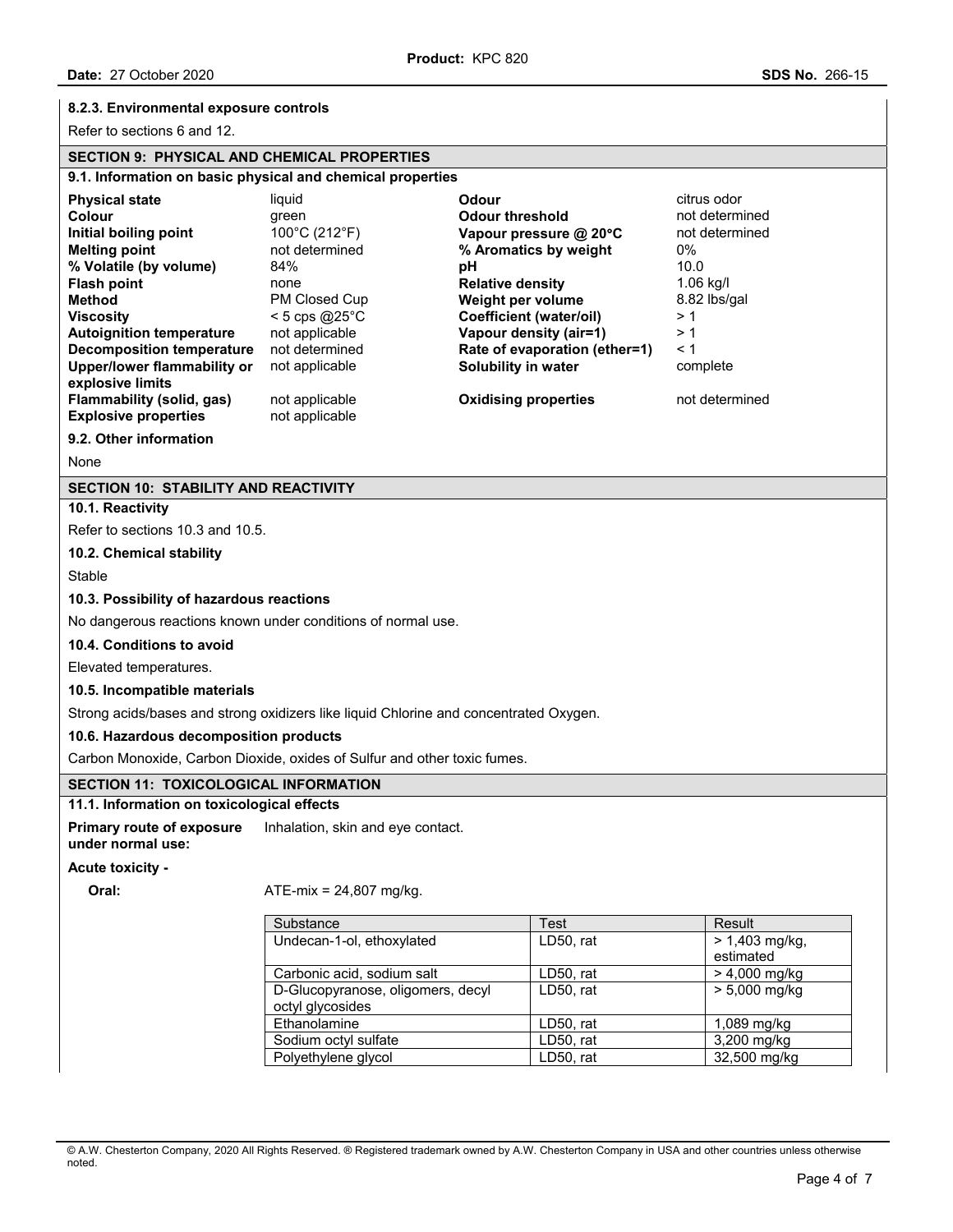### **8.2.3. Environmental exposure controls**

Refer to sections 6 and 12.

## **SECTION 9: PHYSICAL AND CHEMICAL PROPERTIES**

#### **9.1. Information on basic physical and chemical properties Physical state liquid Colour Colour citrus odor citrus odor Colour Colour Colour <b>Colour Colour Colour Colour not determined Initial boiling point** 100°C (212°F) **Vapour pressure @ 20°C** and determined **Melting point Melting point not determined 1.1** mot determined **1.1** mot determined **1.1** mot determined **1.1** mot determined **1.1** mot m **Melting point** not determined **% Aromatics by weight** 0% **% Volatile (by volume)** 84% **pH** 10.0 **Flash point** none **Relative density** 1.06 kg/l **Method** PM Closed Cup **Weight per volume** 8.82 lbs/gal **Viscosity** < 5 cps @25°C **Coefficient (water/oil)** > 1 **Autoignition temperature** not applicable **Vapour density (air=1)** > 1<br>**Decomposition temperature** not determined **Rate of evaporation (ether=1)** < 1 **Rate of evaporation (ether=1)** < 1 **Upper/lower flammability or explosive limits**  not applicable **Solubility in water** complete **Flammability (solid, gas)** not applicable **Oxidising properties** not determined **Explosive properties** not applicable **9.2. Other information**

None

### **SECTION 10: STABILITY AND REACTIVITY**

**10.1. Reactivity** 

Refer to sections 10.3 and 10.5.

**10.2. Chemical stability** 

Stable

### **10.3. Possibility of hazardous reactions**

No dangerous reactions known under conditions of normal use.

#### **10.4. Conditions to avoid**

Elevated temperatures.

#### **10.5. Incompatible materials**

Strong acids/bases and strong oxidizers like liquid Chlorine and concentrated Oxygen.

### **10.6. Hazardous decomposition products**

Carbon Monoxide, Carbon Dioxide, oxides of Sulfur and other toxic fumes.

### **SECTION 11: TOXICOLOGICAL INFORMATION**

#### **11.1. Information on toxicological effects**

**Primary route of exposure under normal use:**  Inhalation, skin and eye contact.

#### **Acute toxicity -**

### **Oral:** ATE-mix = 24,807 mg/kg.

| Substance                                             | Test      | Result                        |
|-------------------------------------------------------|-----------|-------------------------------|
| Undecan-1-ol, ethoxylated                             | LD50, rat | $> 1,403$ mg/kg,<br>estimated |
| Carbonic acid, sodium salt                            | LD50, rat | $> 4,000$ mg/kg               |
| D-Glucopyranose, oligomers, decyl<br>octyl glycosides | LD50, rat | $> 5,000$ mg/kg               |
| Ethanolamine                                          | LD50, rat | 1,089 mg/kg                   |
| Sodium octyl sulfate                                  | LD50, rat | 3,200 mg/kg                   |
| Polyethylene glycol                                   | LD50, rat | 32,500 mg/kg                  |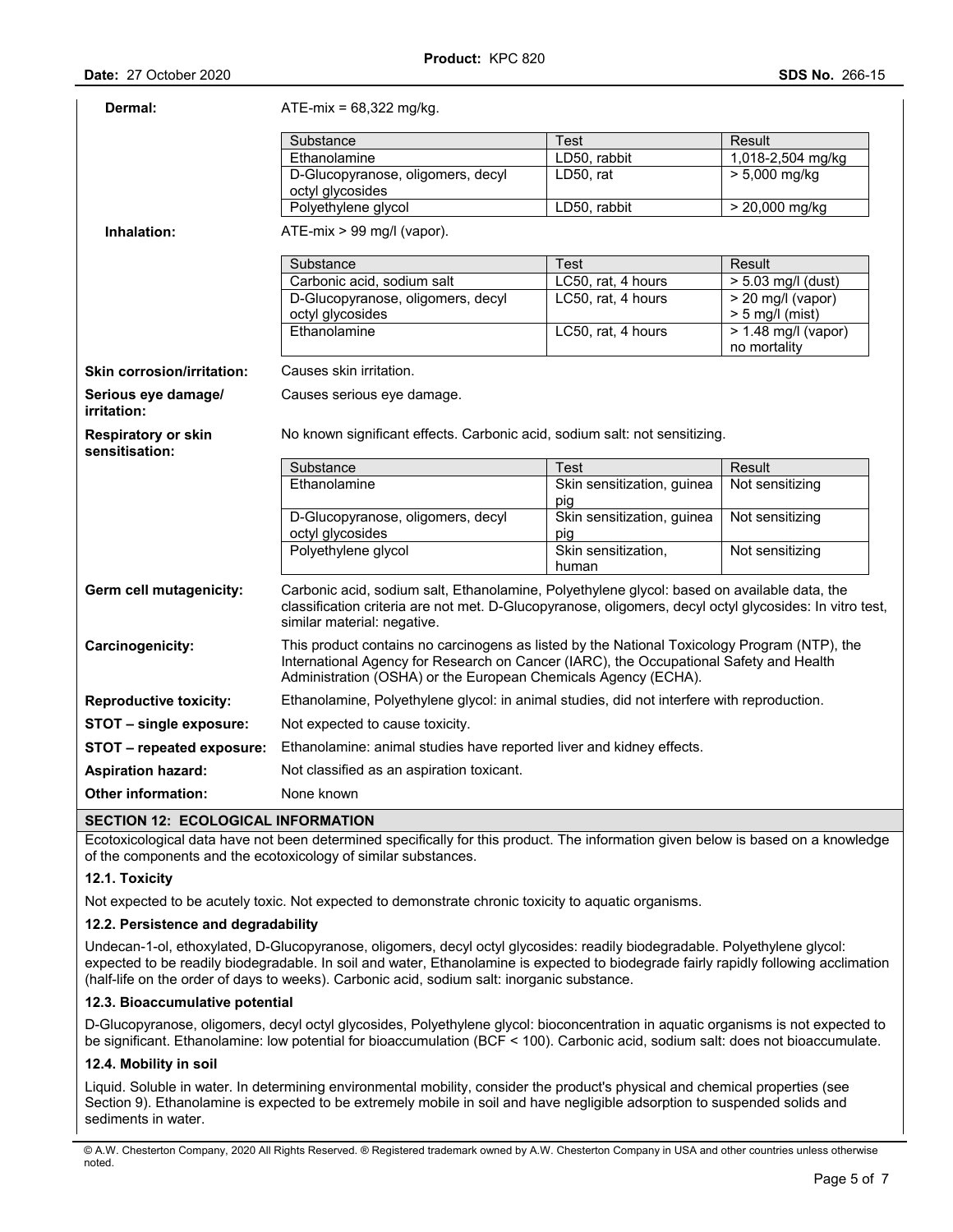| Dermal:                                      | $ATE-mix = 68,322 \text{ mg/kg}$ .                                                                                                                                                                                                                       |                                   |                                               |  |
|----------------------------------------------|----------------------------------------------------------------------------------------------------------------------------------------------------------------------------------------------------------------------------------------------------------|-----------------------------------|-----------------------------------------------|--|
|                                              | Substance                                                                                                                                                                                                                                                | Test                              | Result                                        |  |
|                                              | Ethanolamine                                                                                                                                                                                                                                             | LD50, rabbit                      | 1,018-2,504 mg/kg                             |  |
|                                              | D-Glucopyranose, oligomers, decyl                                                                                                                                                                                                                        | LD50, rat                         | $> 5,000$ mg/kg                               |  |
|                                              | octyl glycosides                                                                                                                                                                                                                                         |                                   |                                               |  |
|                                              | Polyethylene glycol                                                                                                                                                                                                                                      | LD50, rabbit                      | > 20,000 mg/kg                                |  |
| Inhalation:                                  | ATE-mix > 99 mg/l (vapor).                                                                                                                                                                                                                               |                                   |                                               |  |
|                                              | Substance                                                                                                                                                                                                                                                | Test                              | Result                                        |  |
|                                              | Carbonic acid, sodium salt                                                                                                                                                                                                                               | LC50, rat, 4 hours                | $> 5.03$ mg/l (dust)                          |  |
|                                              | D-Glucopyranose, oligomers, decyl<br>octyl glycosides                                                                                                                                                                                                    | LC50, rat, 4 hours                | $\sqrt{20}$ mg/l (vapor)<br>$> 5$ mg/l (mist) |  |
|                                              | Ethanolamine                                                                                                                                                                                                                                             | LC50, rat, 4 hours                | $> 1.48$ mg/l (vapor)<br>no mortality         |  |
| <b>Skin corrosion/irritation:</b>            | Causes skin irritation.                                                                                                                                                                                                                                  |                                   |                                               |  |
| Serious eye damage/<br>irritation:           | Causes serious eye damage.                                                                                                                                                                                                                               |                                   |                                               |  |
| <b>Respiratory or skin</b><br>sensitisation: | No known significant effects. Carbonic acid, sodium salt: not sensitizing.                                                                                                                                                                               |                                   |                                               |  |
|                                              | Substance                                                                                                                                                                                                                                                | Test                              | Result                                        |  |
|                                              | Ethanolamine                                                                                                                                                                                                                                             | Skin sensitization, guinea<br>pig | Not sensitizing                               |  |
|                                              | D-Glucopyranose, oligomers, decyl<br>octyl glycosides                                                                                                                                                                                                    | Skin sensitization, guinea<br>pig | Not sensitizing                               |  |
|                                              | Polyethylene glycol                                                                                                                                                                                                                                      | Skin sensitization,<br>human      | Not sensitizing                               |  |
| Germ cell mutagenicity:                      | Carbonic acid, sodium salt, Ethanolamine, Polyethylene glycol: based on available data, the<br>classification criteria are not met. D-Glucopyranose, oligomers, decyl octyl glycosides: In vitro test,<br>similar material: negative.                    |                                   |                                               |  |
| Carcinogenicity:                             | This product contains no carcinogens as listed by the National Toxicology Program (NTP), the<br>International Agency for Research on Cancer (IARC), the Occupational Safety and Health<br>Administration (OSHA) or the European Chemicals Agency (ECHA). |                                   |                                               |  |
| <b>Reproductive toxicity:</b>                | Ethanolamine, Polyethylene glycol: in animal studies, did not interfere with reproduction.                                                                                                                                                               |                                   |                                               |  |
| STOT - single exposure:                      | Not expected to cause toxicity.                                                                                                                                                                                                                          |                                   |                                               |  |
| STOT - repeated exposure:                    | Ethanolamine: animal studies have reported liver and kidney effects.                                                                                                                                                                                     |                                   |                                               |  |
| <b>Aspiration hazard:</b>                    | Not classified as an aspiration toxicant.                                                                                                                                                                                                                |                                   |                                               |  |
| <b>Other information:</b>                    | None known                                                                                                                                                                                                                                               |                                   |                                               |  |
| SECTION 12: ECOLOGICAL INFORMATION           |                                                                                                                                                                                                                                                          |                                   |                                               |  |

Ecotoxicological data have not been determined specifically for this product. The information given below is based on a knowledge of the components and the ecotoxicology of similar substances.

## **12.1. Toxicity**

Not expected to be acutely toxic. Not expected to demonstrate chronic toxicity to aquatic organisms.

### **12.2. Persistence and degradability**

Undecan-1-ol, ethoxylated, D-Glucopyranose, oligomers, decyl octyl glycosides: readily biodegradable. Polyethylene glycol: expected to be readily biodegradable. In soil and water, Ethanolamine is expected to biodegrade fairly rapidly following acclimation (half-life on the order of days to weeks). Carbonic acid, sodium salt: inorganic substance.

### **12.3. Bioaccumulative potential**

D-Glucopyranose, oligomers, decyl octyl glycosides, Polyethylene glycol: bioconcentration in aquatic organisms is not expected to be significant. Ethanolamine: low potential for bioaccumulation (BCF < 100). Carbonic acid, sodium salt: does not bioaccumulate.

## **12.4. Mobility in soil**

Liquid. Soluble in water. In determining environmental mobility, consider the product's physical and chemical properties (see Section 9). Ethanolamine is expected to be extremely mobile in soil and have negligible adsorption to suspended solids and sediments in water.

<sup>©</sup> A.W. Chesterton Company, 2020 All Rights Reserved. ® Registered trademark owned by A.W. Chesterton Company in USA and other countries unless otherwise noted.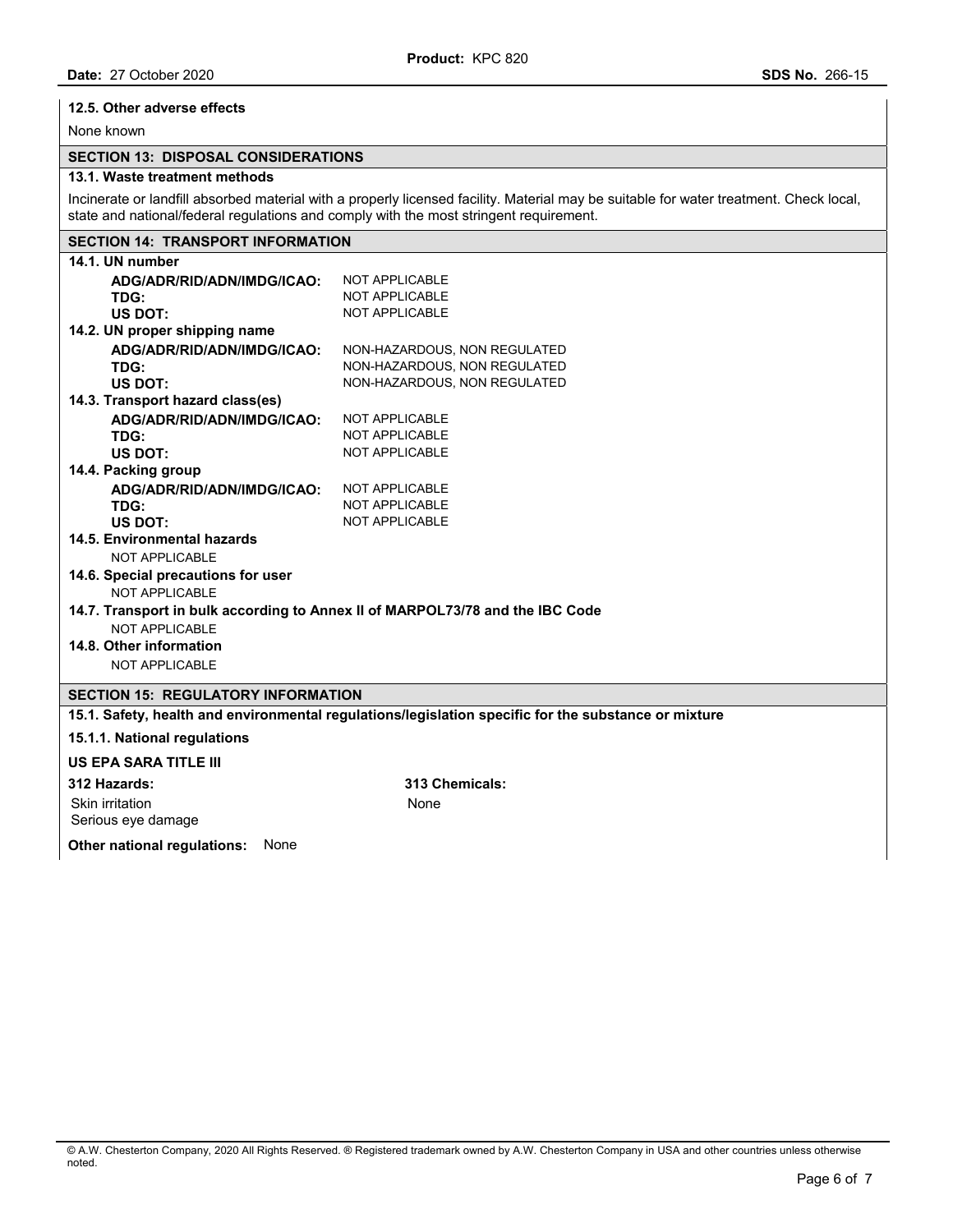## **12.5. Other adverse effects**

None known

## **SECTION 13: DISPOSAL CONSIDERATIONS**

### **13.1. Waste treatment methods**

Incinerate or landfill absorbed material with a properly licensed facility. Material may be suitable for water treatment. Check local, state and national/federal regulations and comply with the most stringent requirement.

## **SECTION 14: TRANSPORT INFORMATION**

| 14.1. UN number                                                                                      |                                                                               |  |
|------------------------------------------------------------------------------------------------------|-------------------------------------------------------------------------------|--|
| ADG/ADR/RID/ADN/IMDG/ICAO:                                                                           | <b>NOT APPLICABLE</b>                                                         |  |
| TDG:                                                                                                 | <b>NOT APPLICABLE</b>                                                         |  |
| US DOT:                                                                                              | <b>NOT APPLICABLE</b>                                                         |  |
| 14.2. UN proper shipping name                                                                        |                                                                               |  |
| ADG/ADR/RID/ADN/IMDG/ICAO:                                                                           | NON-HAZARDOUS, NON REGULATED                                                  |  |
| TDG:                                                                                                 | NON-HAZARDOUS, NON REGULATED                                                  |  |
| US DOT:                                                                                              | NON-HAZARDOUS, NON REGULATED                                                  |  |
| 14.3. Transport hazard class(es)                                                                     |                                                                               |  |
| ADG/ADR/RID/ADN/IMDG/ICAO:                                                                           | <b>NOT APPLICABLE</b>                                                         |  |
| TDG:                                                                                                 | <b>NOT APPLICABLE</b>                                                         |  |
| US DOT:                                                                                              | <b>NOT APPLICABLE</b>                                                         |  |
| 14.4. Packing group                                                                                  |                                                                               |  |
| ADG/ADR/RID/ADN/IMDG/ICAO:                                                                           | <b>NOT APPLICABLE</b>                                                         |  |
| TDG:                                                                                                 | <b>NOT APPLICABLE</b>                                                         |  |
| US DOT:                                                                                              | <b>NOT APPLICABLE</b>                                                         |  |
| 14.5. Environmental hazards                                                                          |                                                                               |  |
| NOT APPLICABLE                                                                                       |                                                                               |  |
| 14.6. Special precautions for user                                                                   |                                                                               |  |
| NOT APPLICABLE                                                                                       |                                                                               |  |
|                                                                                                      | 14.7. Transport in bulk according to Annex II of MARPOL73/78 and the IBC Code |  |
| NOT APPLICABLE                                                                                       |                                                                               |  |
| 14.8. Other information                                                                              |                                                                               |  |
| <b>NOT APPLICABLE</b>                                                                                |                                                                               |  |
| <b>SECTION 15: REGULATORY INFORMATION</b>                                                            |                                                                               |  |
| 15.1. Safety, health and environmental regulations/legislation specific for the substance or mixture |                                                                               |  |
| 15.1.1. National regulations                                                                         |                                                                               |  |
|                                                                                                      |                                                                               |  |
| <b>US EPA SARA TITLE III</b>                                                                         |                                                                               |  |

#### **312 Hazards: 313 Chemicals:**

Skin irritation Serious eye damage

**Other national regulations:** None

None